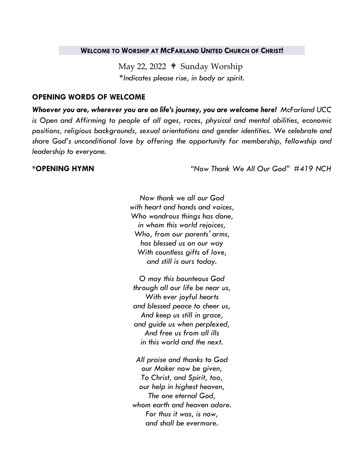### **WELCOME TO WORSHIP AT MCFARLAND UNITED CHURCH OF CHRIST!**

May 22, 2022  $\triangleleft$  Sunday Worship *\*Indicates please rise, in body or spirit.*

## **OPENING WORDS OF WELCOME**

*Whoever you are, wherever you are on life's journey, you are welcome here! McFarland UCC is Open and Affirming to people of all ages, races, physical and mental abilities, economic positions, religious backgrounds, sexual orientations and gender identities. We celebrate and share God's unconditional love by offering the opportunity for membership, fellowship and leadership to everyone.*

**\*OPENING HYMN** *"Now Thank We All Our God" #419 NCH*

*Now thank we all our God with heart and hands and voices, Who wondrous things has done, in whom this world rejoices, Who, from our parents' arms, has blessed us on our way With countless gifts of love, and still is ours today.*

*O may this bounteous God through all our life be near us, With ever joyful hearts and blessed peace to cheer us, And keep us still in grace, and guide us when perplexed, And free us from all ills in this world and the next.*

*All praise and thanks to God our Maker now be given, To Christ, and Spirit, too, our help in highest heaven, The one eternal God, whom earth and heaven adore. For thus it was, is now, and shall be evermore.*